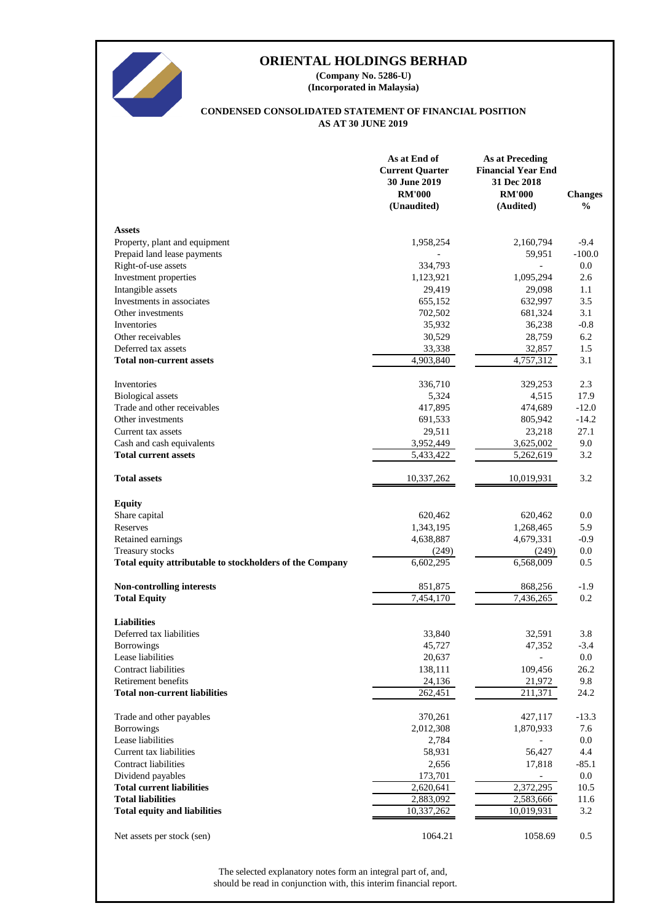

**(Incorporated in Malaysia) (Company No. 5286-U)**

#### **AS AT 30 JUNE 2019 CONDENSED CONSOLIDATED STATEMENT OF FINANCIAL POSITION**

|                                                          | As at End of<br><b>Current Quarter</b><br>30 June 2019<br><b>RM'000</b><br>(Unaudited) | <b>As at Preceding</b><br><b>Financial Year End</b><br>31 Dec 2018<br><b>RM'000</b><br>(Audited) | <b>Changes</b><br>$\frac{0}{0}$ |
|----------------------------------------------------------|----------------------------------------------------------------------------------------|--------------------------------------------------------------------------------------------------|---------------------------------|
| <b>Assets</b>                                            |                                                                                        |                                                                                                  |                                 |
| Property, plant and equipment                            | 1,958,254                                                                              | 2,160,794                                                                                        | $-9.4$                          |
| Prepaid land lease payments                              |                                                                                        | 59,951                                                                                           | $-100.0$                        |
| Right-of-use assets                                      | 334,793                                                                                |                                                                                                  | 0.0                             |
| Investment properties                                    | 1,123,921                                                                              | 1,095,294                                                                                        | 2.6                             |
| Intangible assets                                        | 29,419                                                                                 | 29,098                                                                                           | 1.1                             |
| Investments in associates                                | 655,152                                                                                | 632,997                                                                                          | 3.5                             |
| Other investments                                        | 702,502                                                                                | 681,324                                                                                          | 3.1                             |
| Inventories                                              | 35,932                                                                                 | 36,238                                                                                           | $-0.8$                          |
| Other receivables                                        | 30,529                                                                                 | 28,759                                                                                           | 6.2                             |
| Deferred tax assets                                      | 33,338                                                                                 | 32,857                                                                                           | 1.5                             |
| <b>Total non-current assets</b>                          | 4,903,840                                                                              | 4,757,312                                                                                        | 3.1                             |
| Inventories                                              | 336,710                                                                                | 329,253                                                                                          | 2.3                             |
| <b>Biological</b> assets                                 | 5,324                                                                                  | 4,515                                                                                            | 17.9                            |
| Trade and other receivables                              | 417,895                                                                                | 474,689                                                                                          | $-12.0$                         |
| Other investments                                        | 691,533                                                                                | 805,942                                                                                          | $-14.2$                         |
| Current tax assets                                       | 29,511                                                                                 | 23,218                                                                                           | 27.1                            |
| Cash and cash equivalents                                | 3,952,449                                                                              | 3,625,002                                                                                        | 9.0                             |
| <b>Total current assets</b>                              | 5,433,422                                                                              | 5,262,619                                                                                        | 3.2                             |
| <b>Total assets</b>                                      | 10,337,262                                                                             | 10,019,931                                                                                       | 3.2                             |
| <b>Equity</b>                                            |                                                                                        |                                                                                                  |                                 |
| Share capital                                            | 620,462                                                                                | 620,462                                                                                          | 0.0                             |
| Reserves                                                 | 1,343,195                                                                              | 1,268,465                                                                                        | 5.9                             |
| Retained earnings                                        | 4,638,887                                                                              | 4,679,331                                                                                        | $-0.9$                          |
| Treasury stocks                                          | (249)                                                                                  | (249)                                                                                            | 0.0                             |
| Total equity attributable to stockholders of the Company | 6,602,295                                                                              | 6,568,009                                                                                        | 0.5                             |
|                                                          |                                                                                        |                                                                                                  |                                 |
| <b>Non-controlling interests</b>                         | 851,875<br>$\overline{7,454,170}$                                                      | 868,256<br>7,436,265                                                                             | $-1.9$<br>0.2                   |
| <b>Total Equity</b>                                      |                                                                                        |                                                                                                  |                                 |
| <b>Liabilities</b>                                       |                                                                                        |                                                                                                  |                                 |
| Deferred tax liabilities                                 | 33,840                                                                                 | 32,591                                                                                           | 3.8                             |
| Borrowings                                               | 45,727                                                                                 | 47,352                                                                                           | $-3.4$                          |
| Lease liabilities                                        | 20,637                                                                                 |                                                                                                  | 0.0                             |
| <b>Contract liabilities</b>                              | 138,111                                                                                | 109,456                                                                                          | 26.2                            |
| Retirement benefits                                      | 24,136                                                                                 | 21,972                                                                                           | 9.8                             |
| <b>Total non-current liabilities</b>                     | 262,451                                                                                | 211,371                                                                                          | 24.2                            |
| Trade and other payables                                 | 370,261                                                                                | 427,117                                                                                          | $-13.3$                         |
| <b>Borrowings</b>                                        | 2,012,308                                                                              | 1,870,933                                                                                        | 7.6                             |
| Lease liabilities                                        | 2,784                                                                                  |                                                                                                  | 0.0                             |
| Current tax liabilities                                  | 58,931                                                                                 | 56,427                                                                                           | 4.4                             |
| <b>Contract liabilities</b>                              | 2,656                                                                                  | 17,818                                                                                           | $-85.1$                         |
| Dividend payables                                        | 173,701                                                                                |                                                                                                  | 0.0                             |
| <b>Total current liabilities</b>                         | 2,620,641                                                                              | 2,372,295                                                                                        | 10.5                            |
| <b>Total liabilities</b>                                 | 2,883,092                                                                              | 2,583,666                                                                                        | 11.6                            |
| <b>Total equity and liabilities</b>                      | 10,337,262                                                                             | 10,019,931                                                                                       | 3.2                             |
|                                                          |                                                                                        |                                                                                                  |                                 |
| Net assets per stock (sen)                               | 1064.21                                                                                | 1058.69                                                                                          | 0.5                             |

should be read in conjunction with, this interim financial report. The selected explanatory notes form an integral part of, and,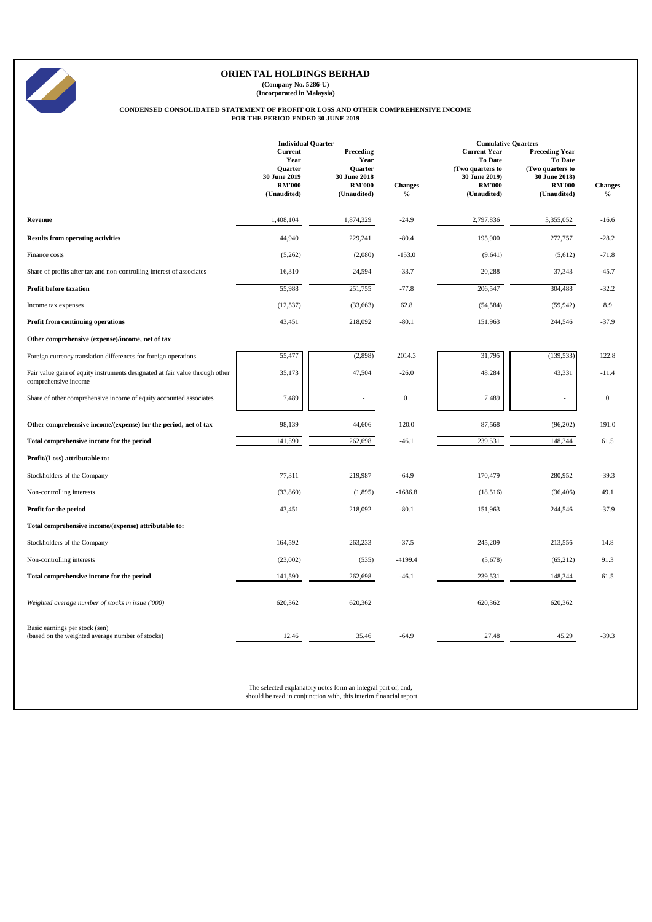**(Company No. 5286-U) (Incorporated in Malaysia)**

## **CONDENSED CONSOLIDATED STATEMENT OF PROFIT OR LOSS AND OTHER COMPREHENSIVE INCOME FOR THE PERIOD ENDED 30 JUNE 2019**

|                                                                                                      | <b>Individual Quarter</b>                                                                |                                                                                     |                        |                                                                                                            | <b>Cumulative Quarters</b>                                                                                   |                        |  |
|------------------------------------------------------------------------------------------------------|------------------------------------------------------------------------------------------|-------------------------------------------------------------------------------------|------------------------|------------------------------------------------------------------------------------------------------------|--------------------------------------------------------------------------------------------------------------|------------------------|--|
|                                                                                                      | <b>Current</b><br>Year<br><b>Ouarter</b><br>30 June 2019<br><b>RM'000</b><br>(Unaudited) | Preceding<br>Year<br><b>Ouarter</b><br>30 June 2018<br><b>RM'000</b><br>(Unaudited) | <b>Changes</b><br>$\%$ | <b>Current Year</b><br><b>To Date</b><br>(Two quarters to<br>30 June 2019)<br><b>RM'000</b><br>(Unaudited) | <b>Preceding Year</b><br><b>To Date</b><br>(Two quarters to<br>30 June 2018)<br><b>RM'000</b><br>(Unaudited) | <b>Changes</b><br>$\%$ |  |
| Revenue                                                                                              | 1,408,104                                                                                | 1,874,329                                                                           | $-24.9$                | 2,797,836                                                                                                  | 3,355,052                                                                                                    | $-16.6$                |  |
| <b>Results from operating activities</b>                                                             | 44,940                                                                                   | 229,241                                                                             | $-80.4$                | 195,900                                                                                                    | 272,757                                                                                                      | $-28.2$                |  |
| Finance costs                                                                                        | (5,262)                                                                                  | (2,080)                                                                             | $-153.0$               | (9,641)                                                                                                    | (5,612)                                                                                                      | $-71.8$                |  |
| Share of profits after tax and non-controlling interest of associates                                | 16,310                                                                                   | 24,594                                                                              | $-33.7$                | 20,288                                                                                                     | 37,343                                                                                                       | $-45.7$                |  |
| <b>Profit before taxation</b>                                                                        | 55,988                                                                                   | 251,755                                                                             | $-77.8$                | 206,547                                                                                                    | 304,488                                                                                                      | $-32.2$                |  |
| Income tax expenses                                                                                  | (12, 537)                                                                                | (33, 663)                                                                           | 62.8                   | (54, 584)                                                                                                  | (59, 942)                                                                                                    | 8.9                    |  |
| Profit from continuing operations                                                                    | 43,451                                                                                   | 218,092                                                                             | $-80.1$                | 151,963                                                                                                    | 244,546                                                                                                      | $-37.9$                |  |
| Other comprehensive (expense)/income, net of tax                                                     |                                                                                          |                                                                                     |                        |                                                                                                            |                                                                                                              |                        |  |
| Foreign currency translation differences for foreign operations                                      | 55,477                                                                                   | (2,898)                                                                             | 2014.3                 | 31,795                                                                                                     | (139, 533)                                                                                                   | 122.8                  |  |
| Fair value gain of equity instruments designated at fair value through other<br>comprehensive income | 35,173                                                                                   | 47,504                                                                              | $-26.0$                | 48,284                                                                                                     | 43,331                                                                                                       | $-11.4$                |  |
| Share of other comprehensive income of equity accounted associates                                   | 7,489                                                                                    | L,                                                                                  | $\boldsymbol{0}$       | 7,489                                                                                                      |                                                                                                              | $\boldsymbol{0}$       |  |
| Other comprehensive income/(expense) for the period, net of tax                                      | 98,139                                                                                   | 44,606                                                                              | 120.0                  | 87,568                                                                                                     | (96,202)                                                                                                     | 191.0                  |  |
| Total comprehensive income for the period                                                            | 141,590                                                                                  | 262,698                                                                             | $-46.1$                | 239,531                                                                                                    | 148,344                                                                                                      | 61.5                   |  |
| Profit/(Loss) attributable to:                                                                       |                                                                                          |                                                                                     |                        |                                                                                                            |                                                                                                              |                        |  |
| Stockholders of the Company                                                                          | 77,311                                                                                   | 219,987                                                                             | $-64.9$                | 170,479                                                                                                    | 280,952                                                                                                      | $-39.3$                |  |
| Non-controlling interests                                                                            | (33,860)                                                                                 | (1,895)                                                                             | $-1686.8$              | (18,516)                                                                                                   | (36, 406)                                                                                                    | 49.1                   |  |
| Profit for the period                                                                                | 43,451                                                                                   | 218,092                                                                             | $-80.1$                | 151,963                                                                                                    | 244,546                                                                                                      | $-37.9$                |  |
| Total comprehensive income/(expense) attributable to:                                                |                                                                                          |                                                                                     |                        |                                                                                                            |                                                                                                              |                        |  |
| Stockholders of the Company                                                                          | 164,592                                                                                  | 263,233                                                                             | $-37.5$                | 245,209                                                                                                    | 213,556                                                                                                      | 14.8                   |  |
| Non-controlling interests                                                                            | (23,002)                                                                                 | (535)                                                                               | $-4199.4$              | (5,678)                                                                                                    | (65, 212)                                                                                                    | 91.3                   |  |
| Total comprehensive income for the period                                                            | 141,590                                                                                  | 262,698                                                                             | $-46.1$                | 239,531                                                                                                    | 148,344                                                                                                      | 61.5                   |  |
| Weighted average number of stocks in issue ('000)                                                    | 620,362                                                                                  | 620,362                                                                             |                        | 620,362                                                                                                    | 620,362                                                                                                      |                        |  |
| Basic earnings per stock (sen)<br>(based on the weighted average number of stocks)                   | 12.46                                                                                    | 35.46                                                                               | $-64.9$                | 27.48                                                                                                      | 45.29                                                                                                        | $-39.3$                |  |

The selected explanatory notes form an integral part of, and, should be read in conjunction with, this interim financial report.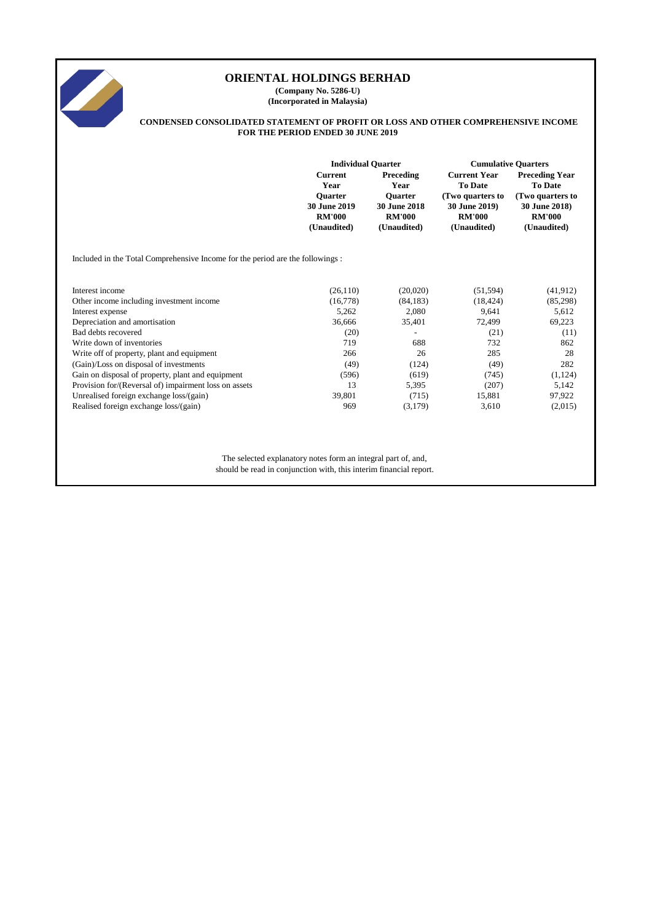

**(Company No. 5286-U) (Incorporated in Malaysia)**

#### **CONDENSED CONSOLIDATED STATEMENT OF PROFIT OR LOSS AND OTHER COMPREHENSIVE INCOME FOR THE PERIOD ENDED 30 JUNE 2019**

|                                                                               | <b>Individual Quarter</b> |                     | <b>Cumulative Quarters</b> |                                                               |  |  |  |  |  |  |  |
|-------------------------------------------------------------------------------|---------------------------|---------------------|----------------------------|---------------------------------------------------------------|--|--|--|--|--|--|--|
|                                                                               | <b>Current</b>            | Preceding           | <b>Current Year</b>        | <b>Preceding Year</b>                                         |  |  |  |  |  |  |  |
|                                                                               | Year                      | Year                | <b>To Date</b>             | <b>To Date</b>                                                |  |  |  |  |  |  |  |
|                                                                               | <b>Ouarter</b>            | <b>Ouarter</b>      | (Two quarters to           | (Two quarters to                                              |  |  |  |  |  |  |  |
|                                                                               | 30 June 2019              | <b>30 June 2018</b> | 30 June 2019)              | 30 June 2018)                                                 |  |  |  |  |  |  |  |
|                                                                               | <b>RM'000</b>             | <b>RM'000</b>       | <b>RM'000</b>              | <b>RM'000</b>                                                 |  |  |  |  |  |  |  |
|                                                                               | (Unaudited)               | (Unaudited)         | (Unaudited)                | (Unaudited)                                                   |  |  |  |  |  |  |  |
| Included in the Total Comprehensive Income for the period are the followings: |                           |                     |                            |                                                               |  |  |  |  |  |  |  |
|                                                                               |                           |                     |                            |                                                               |  |  |  |  |  |  |  |
| Interest income                                                               | (26, 110)                 | (20,020)            | (51, 594)                  | (41, 912)                                                     |  |  |  |  |  |  |  |
| Other income including investment income                                      | (16,778)                  | (84, 183)           | (18, 424)                  | (85,298)                                                      |  |  |  |  |  |  |  |
| Interest expense                                                              | 5,262                     | 2,080               | 9.641                      | 5,612                                                         |  |  |  |  |  |  |  |
| Depreciation and amortisation                                                 | 36,666                    | 35,401              | 72,499                     | 69,223                                                        |  |  |  |  |  |  |  |
| Bad debts recovered                                                           | (20)                      |                     | (21)                       | (11)                                                          |  |  |  |  |  |  |  |
| Write down of inventories                                                     | 719                       | 688                 | 732                        | 862                                                           |  |  |  |  |  |  |  |
| Write off of property, plant and equipment                                    | 266                       | 26                  | 285                        | 28                                                            |  |  |  |  |  |  |  |
| (Gain)/Loss on disposal of investments                                        | (49)                      | (124)               | (49)                       | 282                                                           |  |  |  |  |  |  |  |
| Gain on disposal of property, plant and equipment                             | (596)                     | (619)               | (745)                      | (1, 124)                                                      |  |  |  |  |  |  |  |
| Provision for/(Reversal of) impairment loss on assets                         | 13                        | 5,395               | (207)                      | 5,142                                                         |  |  |  |  |  |  |  |
| Unrealised foreign exchange loss/(gain)                                       | 39,801                    | (715)               | 15,881                     | 97,922                                                        |  |  |  |  |  |  |  |
| Realised foreign exchange loss/(gain)                                         | 969                       | (3,179)             | 3,610                      | (2,015)                                                       |  |  |  |  |  |  |  |
|                                                                               |                           |                     |                            |                                                               |  |  |  |  |  |  |  |
|                                                                               |                           |                     |                            |                                                               |  |  |  |  |  |  |  |
|                                                                               |                           |                     |                            |                                                               |  |  |  |  |  |  |  |
|                                                                               |                           |                     |                            | The selected explanatory notes form an integral part of, and, |  |  |  |  |  |  |  |

should be read in conjunction with, this interim financial report.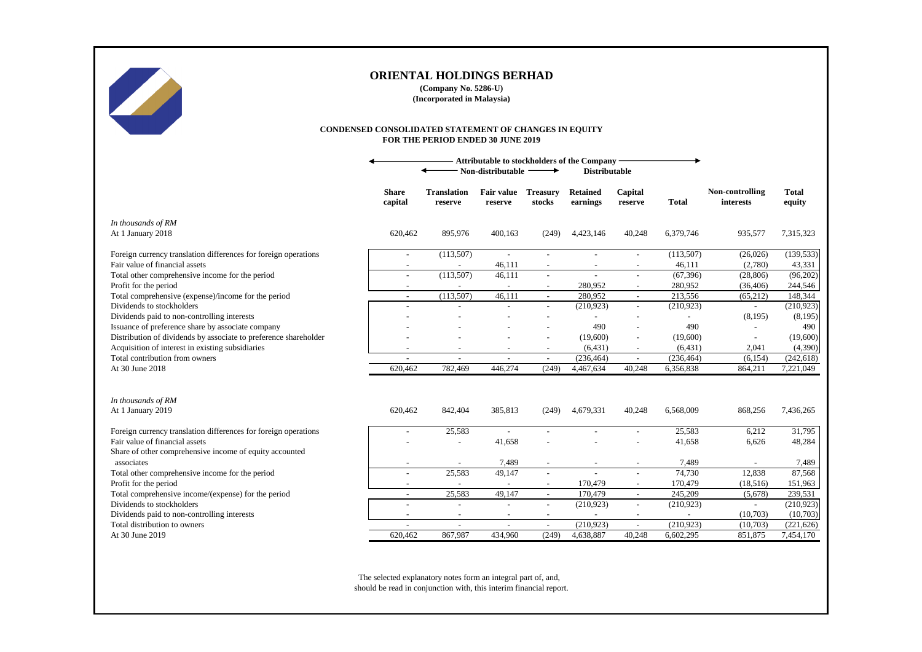

**(Company No. 5286-U) (Incorporated in Malaysia)**

#### **CONDENSED CONSOLIDATED STATEMENT OF CHANGES IN EQUITY FOR THE PERIOD ENDED 30 JUNE 2019**

|                                                                  | Attributable to stockholders of the Company    |                               |                          |                           |                             |                          |              |                              |                        |
|------------------------------------------------------------------|------------------------------------------------|-------------------------------|--------------------------|---------------------------|-----------------------------|--------------------------|--------------|------------------------------|------------------------|
|                                                                  | Non-distributable<br><b>Distributable</b><br>→ |                               |                          |                           |                             |                          |              |                              |                        |
|                                                                  | <b>Share</b><br>capital                        | <b>Translation</b><br>reserve | Fair value<br>reserve    | <b>Treasury</b><br>stocks | <b>Retained</b><br>earnings | Capital<br>reserve       | <b>Total</b> | Non-controlling<br>interests | <b>Total</b><br>equity |
| In thousands of RM<br>At 1 January 2018                          | 620,462                                        | 895,976                       | 400.163                  | (249)                     | 4,423,146                   | 40,248                   | 6,379,746    | 935,577                      | 7,315,323              |
|                                                                  |                                                |                               |                          |                           |                             |                          |              |                              |                        |
| Foreign currency translation differences for foreign operations  | $\overline{\phantom{a}}$                       | (113,507)                     | $\blacksquare$           | $\overline{\phantom{a}}$  |                             | $\overline{\phantom{a}}$ | (113,507)    | (26,026)                     | (139, 533)             |
| Fair value of financial assets                                   |                                                |                               | 46,111                   |                           |                             |                          | 46,111       | (2,780)                      | 43,331                 |
| Total other comprehensive income for the period                  | $\overline{\phantom{a}}$                       | (113,507)                     | 46,111                   | $\overline{\phantom{a}}$  | $\overline{a}$              | $\sim$                   | (67, 396)    | (28, 806)                    | (96,202)               |
| Profit for the period                                            |                                                | $\sim$                        | $\overline{\phantom{a}}$ |                           | 280,952                     |                          | 280,952      | (36, 406)                    | 244,546                |
| Total comprehensive (expense)/income for the period              |                                                | (113,507)                     | 46,111                   |                           | 280,952                     | $\mathcal{L}$            | 213,556      | (65,212)                     | 148,344                |
| Dividends to stockholders                                        |                                                |                               |                          |                           | (210,923)                   | $\sim$                   | (210, 923)   | $\sim$                       | (210, 923)             |
| Dividends paid to non-controlling interests                      |                                                |                               |                          |                           |                             |                          |              | (8,195)                      | (8,195)                |
| Issuance of preference share by associate company                |                                                |                               |                          |                           | 490                         |                          | 490          |                              | 490                    |
| Distribution of dividends by associate to preference shareholder |                                                |                               |                          |                           | (19,600)                    |                          | (19,600)     |                              | (19,600)               |
| Acquisition of interest in existing subsidiaries                 |                                                |                               |                          |                           | (6, 431)                    |                          | (6, 431)     | 2,041                        | (4,390)                |
| Total contribution from owners                                   | $\overline{\phantom{a}}$                       | $\overline{a}$                |                          | $\sim$                    | (236, 464)                  | $\sim$                   | (236, 464)   | (6, 154)                     | (242, 618)             |
| At 30 June 2018                                                  | 620,462                                        | 782,469                       | 446,274                  | (249)                     | 4,467,634                   | 40,248                   | 6,356,838    | 864,211                      | 7,221,049              |
|                                                                  |                                                |                               |                          |                           |                             |                          |              |                              |                        |
| In thousands of RM<br>At 1 January 2019                          | 620,462                                        | 842,404                       | 385,813                  | (249)                     | 4,679,331                   | 40,248                   | 6,568,009    | 868,256                      | 7,436,265              |
|                                                                  |                                                |                               |                          |                           |                             |                          |              |                              |                        |
| Foreign currency translation differences for foreign operations  |                                                | 25,583                        |                          |                           |                             |                          | 25,583       | 6,212                        | 31,795                 |
| Fair value of financial assets                                   |                                                | $\overline{\phantom{a}}$      | 41,658                   |                           |                             |                          | 41,658       | 6,626                        | 48,284                 |
| Share of other comprehensive income of equity accounted          |                                                |                               |                          |                           |                             |                          |              |                              |                        |
| associates                                                       |                                                |                               | 7,489                    |                           |                             |                          | 7,489        |                              | 7,489                  |
| Total other comprehensive income for the period                  |                                                | 25,583                        | 49,147                   |                           |                             |                          | 74,730       | 12,838                       | 87,568                 |
| Profit for the period                                            |                                                |                               |                          | $\overline{\phantom{a}}$  | 170,479                     | $\overline{\phantom{a}}$ | 170,479      | (18,516)                     | 151,963                |
| Total comprehensive income/(expense) for the period              | $\overline{a}$                                 | 25,583                        | 49,147                   | $\sim$                    | 170,479                     | $\sim$                   | 245,209      | (5,678)                      | 239,531                |
| Dividends to stockholders                                        |                                                |                               |                          |                           | (210, 923)                  |                          | (210, 923)   |                              | (210, 923)             |
| Dividends paid to non-controlling interests                      | $\overline{\phantom{a}}$                       | $\overline{\phantom{a}}$      |                          | $\overline{\phantom{a}}$  |                             |                          |              | (10,703)                     | (10,703)               |
| Total distribution to owners                                     |                                                | $\overline{a}$                |                          | $\sim$                    | (210,923)                   | $\overline{a}$           | (210, 923)   | (10,703)                     | (221, 626)             |
| At 30 June 2019                                                  | 620,462                                        | 867,987                       | 434,960                  | (249)                     | 4,638,887                   | 40.248                   | 6,602,295    | 851,875                      | 7,454,170              |

The selected explanatory notes form an integral part of, and, should be read in conjunction with, this interim financial report.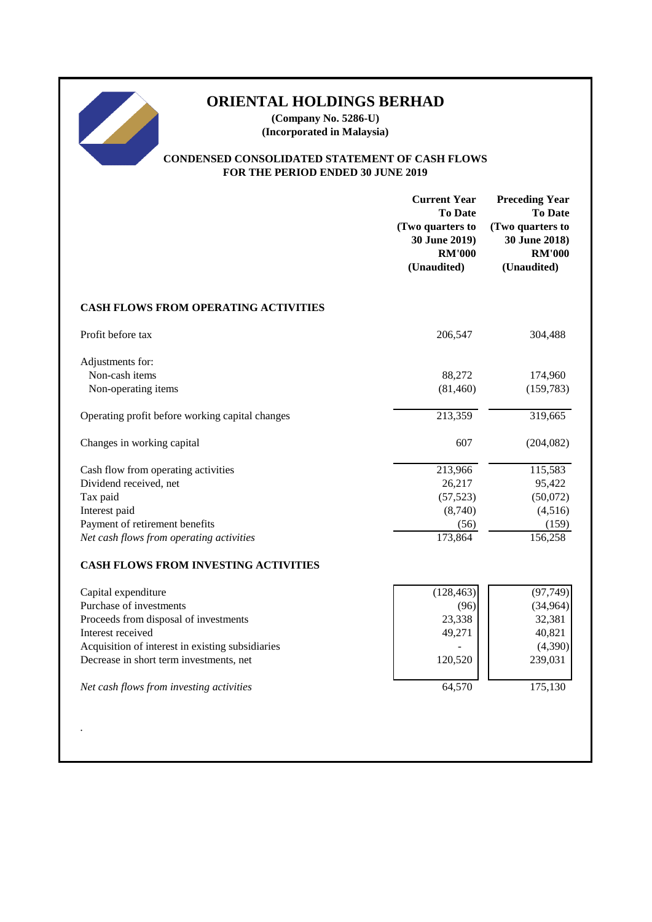**(Company No. 5286-U) (Incorporated in Malaysia)**

## **CONDENSED CONSOLIDATED STATEMENT OF CASH FLOWS FOR THE PERIOD ENDED 30 JUNE 2019**

|                                                                                                                                                                                                                                                         | <b>Current Year</b><br><b>To Date</b><br>(Two quarters to<br>30 June 2019)<br><b>RM'000</b><br>(Unaudited) | <b>Preceding Year</b><br><b>To Date</b><br>(Two quarters to<br>30 June 2018)<br><b>RM'000</b><br>(Unaudited) |
|---------------------------------------------------------------------------------------------------------------------------------------------------------------------------------------------------------------------------------------------------------|------------------------------------------------------------------------------------------------------------|--------------------------------------------------------------------------------------------------------------|
| CASH FLOWS FROM OPERATING ACTIVITIES                                                                                                                                                                                                                    |                                                                                                            |                                                                                                              |
| Profit before tax                                                                                                                                                                                                                                       | 206,547                                                                                                    | 304,488                                                                                                      |
| Adjustments for:<br>Non-cash items<br>Non-operating items                                                                                                                                                                                               | 88,272<br>(81, 460)                                                                                        | 174,960<br>(159, 783)                                                                                        |
| Operating profit before working capital changes                                                                                                                                                                                                         | 213,359                                                                                                    | 319,665                                                                                                      |
| Changes in working capital                                                                                                                                                                                                                              | 607                                                                                                        | (204, 082)                                                                                                   |
| Cash flow from operating activities<br>Dividend received, net<br>Tax paid<br>Interest paid<br>Payment of retirement benefits<br>Net cash flows from operating activities                                                                                | 213,966<br>26,217<br>(57, 523)<br>(8,740)<br>(56)<br>173,864                                               | 115,583<br>95,422<br>(50,072)<br>(4,516)<br>(159)<br>156,258                                                 |
| <b>CASH FLOWS FROM INVESTING ACTIVITIES</b>                                                                                                                                                                                                             |                                                                                                            |                                                                                                              |
| Capital expenditure<br>Purchase of investments<br>Proceeds from disposal of investments<br>Interest received<br>Acquisition of interest in existing subsidiaries<br>Decrease in short term investments, net<br>Net cash flows from investing activities | (128, 463)<br>(96)<br>23,338<br>49,271<br>120,520<br>64,570                                                | (97, 749)<br>(34,964)<br>32,381<br>40,821<br>(4,390)<br>239,031<br>175,130                                   |
|                                                                                                                                                                                                                                                         |                                                                                                            |                                                                                                              |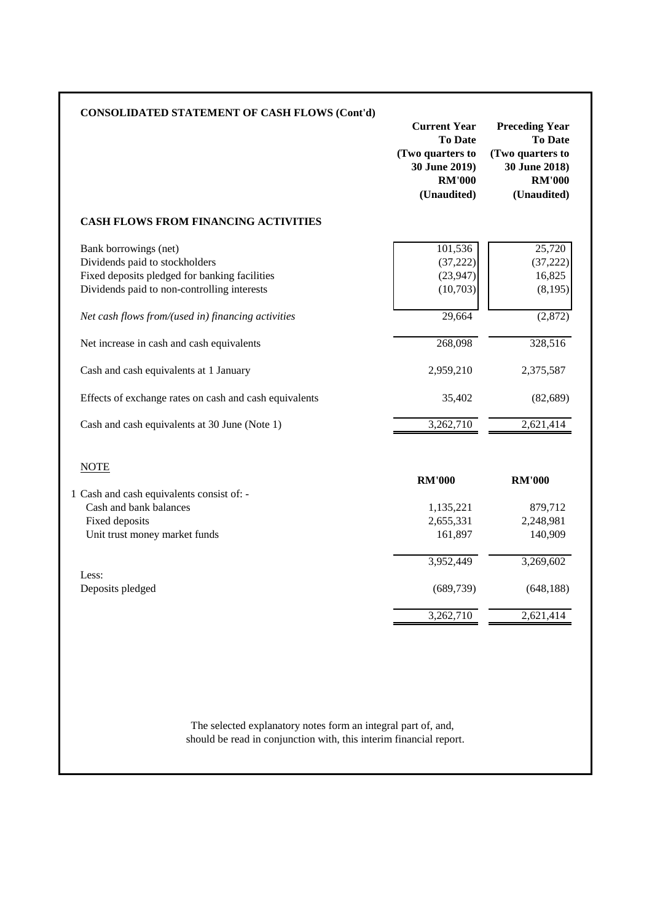| <b>CONSOLIDATED STATEMENT OF CASH FLOWS (Cont'd)</b>                                                                                                                                                                                                                                                                                                           | <b>Current Year</b><br><b>To Date</b><br>(Two quarters to<br>30 June 2019)<br><b>RM'000</b><br>(Unaudited) | <b>Preceding Year</b><br><b>To Date</b><br>(Two quarters to<br>30 June 2018)<br><b>RM'000</b><br>(Unaudited) |
|----------------------------------------------------------------------------------------------------------------------------------------------------------------------------------------------------------------------------------------------------------------------------------------------------------------------------------------------------------------|------------------------------------------------------------------------------------------------------------|--------------------------------------------------------------------------------------------------------------|
| <b>CASH FLOWS FROM FINANCING ACTIVITIES</b>                                                                                                                                                                                                                                                                                                                    |                                                                                                            |                                                                                                              |
| Bank borrowings (net)<br>Dividends paid to stockholders<br>Fixed deposits pledged for banking facilities<br>Dividends paid to non-controlling interests<br>Net cash flows from/(used in) financing activities<br>Net increase in cash and cash equivalents<br>Cash and cash equivalents at 1 January<br>Effects of exchange rates on cash and cash equivalents | 101,536<br>(37, 222)<br>(23, 947)<br>(10,703)<br>29,664<br>268,098<br>2,959,210<br>35,402                  | 25,720<br>(37, 222)<br>16,825<br>(8,195)<br>(2,872)<br>328,516<br>2,375,587<br>(82, 689)                     |
| Cash and cash equivalents at 30 June (Note 1)                                                                                                                                                                                                                                                                                                                  | 3,262,710                                                                                                  | 2,621,414                                                                                                    |
| <b>NOTE</b>                                                                                                                                                                                                                                                                                                                                                    | <b>RM'000</b>                                                                                              | <b>RM'000</b>                                                                                                |
| 1 Cash and cash equivalents consist of: -<br>Cash and bank balances<br>Fixed deposits<br>Unit trust money market funds                                                                                                                                                                                                                                         | 1,135,221<br>2,655,331<br>161,897                                                                          | 879,712<br>2,248,981<br>140,909                                                                              |
| Less:<br>Deposits pledged                                                                                                                                                                                                                                                                                                                                      | 3,952,449<br>(689, 739)                                                                                    | 3,269,602<br>(648, 188)                                                                                      |
|                                                                                                                                                                                                                                                                                                                                                                | 3,262,710                                                                                                  | 2,621,414                                                                                                    |

should be read in conjunction with, this interim financial report. The selected explanatory notes form an integral part of, and,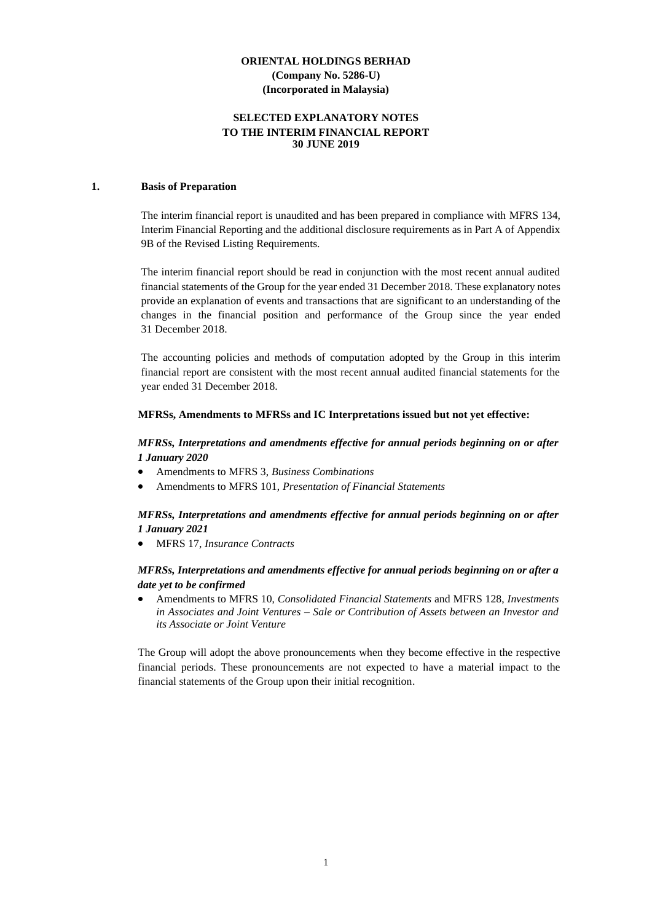## **SELECTED EXPLANATORY NOTES TO THE INTERIM FINANCIAL REPORT 30 JUNE 2019**

#### **1. Basis of Preparation**

The interim financial report is unaudited and has been prepared in compliance with MFRS 134, Interim Financial Reporting and the additional disclosure requirements as in Part A of Appendix 9B of the Revised Listing Requirements.

The interim financial report should be read in conjunction with the most recent annual audited financial statements of the Group for the year ended 31 December 2018. These explanatory notes provide an explanation of events and transactions that are significant to an understanding of the changes in the financial position and performance of the Group since the year ended 31 December 2018.

The accounting policies and methods of computation adopted by the Group in this interim financial report are consistent with the most recent annual audited financial statements for the year ended 31 December 2018.

#### **MFRSs, Amendments to MFRSs and IC Interpretations issued but not yet effective:**

### *MFRSs, Interpretations and amendments effective for annual periods beginning on or after 1 January 2020*

- Amendments to MFRS 3, *Business Combinations*
- Amendments to MFRS 101, *Presentation of Financial Statements*

#### *MFRSs, Interpretations and amendments effective for annual periods beginning on or after 1 January 2021*

• MFRS 17, *Insurance Contracts*

#### *MFRSs, Interpretations and amendments effective for annual periods beginning on or after a date yet to be confirmed*

• Amendments to MFRS 10, *Consolidated Financial Statements* and MFRS 128, *Investments in Associates and Joint Ventures – Sale or Contribution of Assets between an Investor and its Associate or Joint Venture*

The Group will adopt the above pronouncements when they become effective in the respective financial periods. These pronouncements are not expected to have a material impact to the financial statements of the Group upon their initial recognition.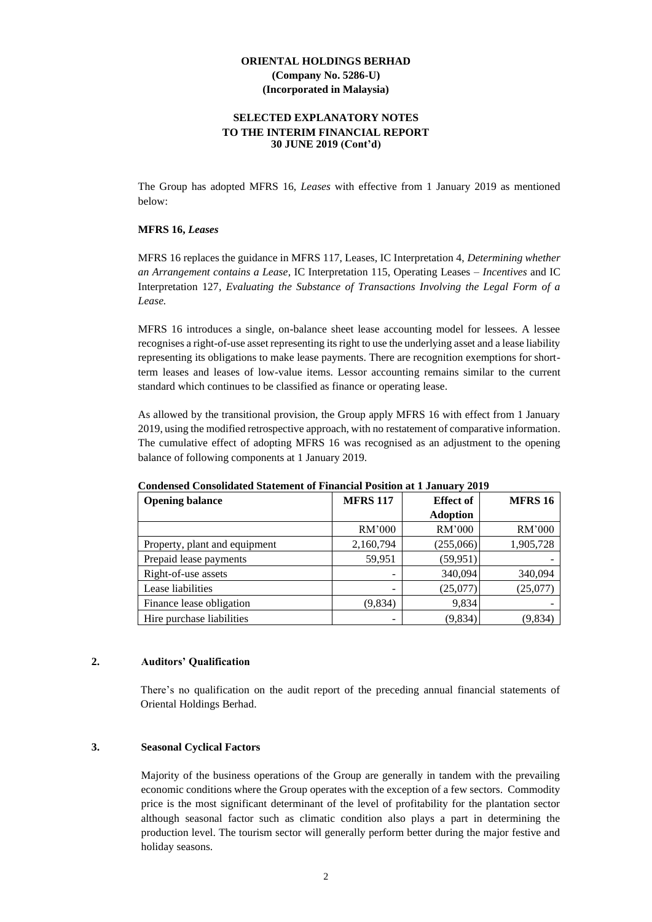#### **SELECTED EXPLANATORY NOTES TO THE INTERIM FINANCIAL REPORT 30 JUNE 2019 (Cont'd)**

The Group has adopted MFRS 16, *Leases* with effective from 1 January 2019 as mentioned below:

#### **MFRS 16,** *Leases*

MFRS 16 replaces the guidance in MFRS 117, Leases, IC Interpretation 4, *Determining whether an Arrangement contains a Lease*, IC Interpretation 115, Operating Leases *– Incentives* and IC Interpretation 127*, Evaluating the Substance of Transactions Involving the Legal Form of a Lease.*

MFRS 16 introduces a single, on-balance sheet lease accounting model for lessees. A lessee recognises a right-of-use asset representing its right to use the underlying asset and a lease liability representing its obligations to make lease payments. There are recognition exemptions for shortterm leases and leases of low-value items. Lessor accounting remains similar to the current standard which continues to be classified as finance or operating lease.

As allowed by the transitional provision, the Group apply MFRS 16 with effect from 1 January 2019, using the modified retrospective approach, with no restatement of comparative information. The cumulative effect of adopting MFRS 16 was recognised as an adjustment to the opening balance of following components at 1 January 2019.

| <b>Opening balance</b>        | <b>MFRS 117</b> | <b>Effect</b> of | <b>MFRS 16</b> |
|-------------------------------|-----------------|------------------|----------------|
|                               |                 | <b>Adoption</b>  |                |
|                               | RM'000          | RM'000           | RM'000         |
| Property, plant and equipment | 2,160,794       | (255,066)        | 1,905,728      |
| Prepaid lease payments        | 59,951          | (59, 951)        |                |
| Right-of-use assets           |                 | 340,094          | 340,094        |
| Lease liabilities             | -               | (25,077)         | (25,077)       |
| Finance lease obligation      | (9,834)         | 9,834            |                |
| Hire purchase liabilities     |                 | (9,834)          | (9,834)        |

**Condensed Consolidated Statement of Financial Position at 1 January 2019**

#### **2. Auditors' Qualification**

There's no qualification on the audit report of the preceding annual financial statements of Oriental Holdings Berhad.

#### **3. Seasonal Cyclical Factors**

Majority of the business operations of the Group are generally in tandem with the prevailing economic conditions where the Group operates with the exception of a few sectors. Commodity price is the most significant determinant of the level of profitability for the plantation sector although seasonal factor such as climatic condition also plays a part in determining the production level. The tourism sector will generally perform better during the major festive and holiday seasons.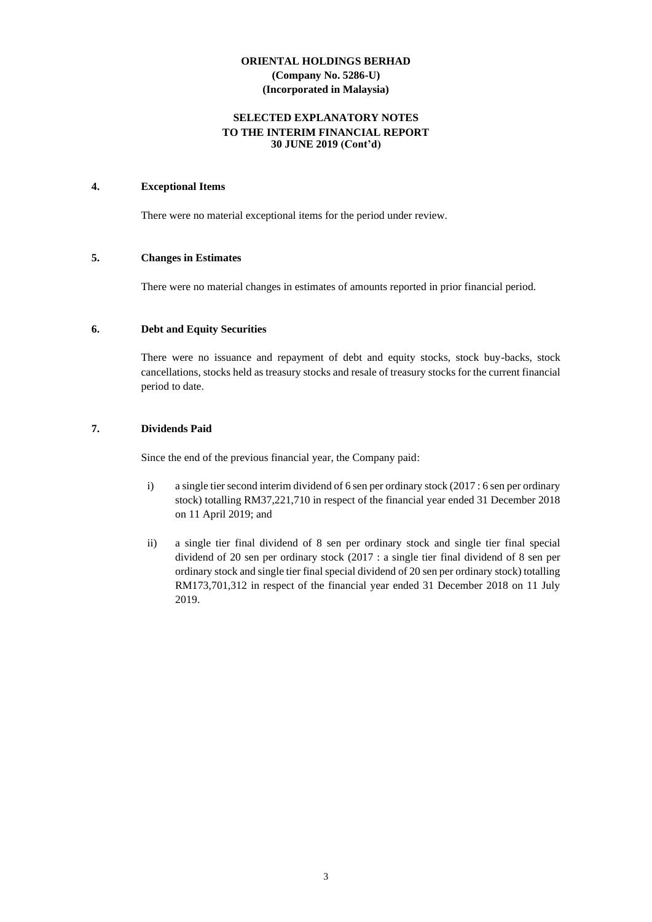#### **SELECTED EXPLANATORY NOTES TO THE INTERIM FINANCIAL REPORT 30 JUNE 2019 (Cont'd)**

#### **4. Exceptional Items**

There were no material exceptional items for the period under review.

#### **5. Changes in Estimates**

There were no material changes in estimates of amounts reported in prior financial period.

## **6. Debt and Equity Securities**

There were no issuance and repayment of debt and equity stocks, stock buy-backs, stock cancellations, stocks held as treasury stocks and resale of treasury stocks for the current financial period to date.

## **7. Dividends Paid**

Since the end of the previous financial year, the Company paid:

- i) a single tier second interim dividend of 6 sen per ordinary stock (2017 : 6 sen per ordinary stock) totalling RM37,221,710 in respect of the financial year ended 31 December 2018 on 11 April 2019; and
- ii) a single tier final dividend of 8 sen per ordinary stock and single tier final special dividend of 20 sen per ordinary stock (2017 : a single tier final dividend of 8 sen per ordinary stock and single tier final special dividend of 20 sen per ordinary stock) totalling RM173,701,312 in respect of the financial year ended 31 December 2018 on 11 July 2019.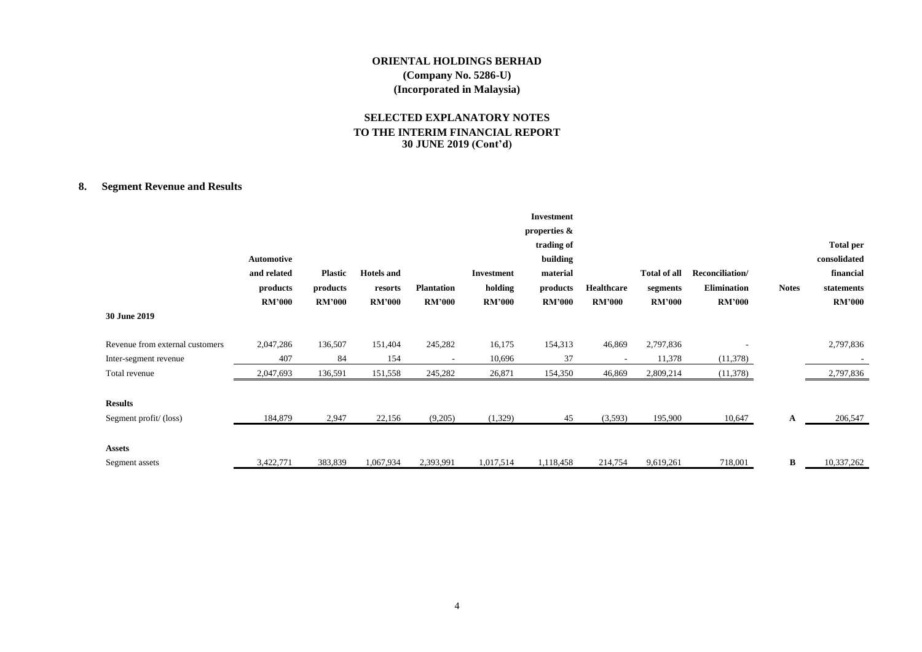## **SELECTED EXPLANATORY NOTES TO THE INTERIM FINANCIAL REPORT 30 JUNE 2019 (Cont'd)**

## **8. Segment Revenue and Results**

|                                                          | <b>Automotive</b><br>and related<br>products<br><b>RM'000</b> | <b>Plastic</b><br>products<br><b>RM'000</b> | <b>Hotels</b> and<br>resorts<br><b>RM'000</b> | <b>Plantation</b><br><b>RM'000</b> | <b>Investment</b><br>holding<br><b>RM'000</b> | <b>Investment</b><br>properties &<br>trading of<br>building<br>material<br>products<br><b>RM'000</b> | Healthcare<br><b>RM'000</b> | <b>Total of all</b><br>segments<br><b>RM'000</b> | Reconciliation/<br><b>Elimination</b><br><b>RM'000</b> | <b>Notes</b> | <b>Total per</b><br>consolidated<br>financial<br>statements<br><b>RM'000</b> |
|----------------------------------------------------------|---------------------------------------------------------------|---------------------------------------------|-----------------------------------------------|------------------------------------|-----------------------------------------------|------------------------------------------------------------------------------------------------------|-----------------------------|--------------------------------------------------|--------------------------------------------------------|--------------|------------------------------------------------------------------------------|
| 30 June 2019                                             |                                                               |                                             |                                               |                                    |                                               |                                                                                                      |                             |                                                  |                                                        |              |                                                                              |
| Revenue from external customers<br>Inter-segment revenue | 2,047,286<br>407                                              | 136,507<br>84                               | 151,404<br>154                                | 245,282                            | 16,175<br>10,696                              | 154,313<br>37                                                                                        | 46,869                      | 2,797,836<br>11,378                              | (11,378)                                               |              | 2,797,836                                                                    |
| Total revenue                                            | 2,047,693                                                     | 136,591                                     | 151,558                                       | 245,282                            | 26,871                                        | 154,350                                                                                              | 46,869                      | 2,809,214                                        | (11,378)                                               |              | 2,797,836                                                                    |
| <b>Results</b><br>Segment profit/(loss)                  | 184,879                                                       | 2,947                                       | 22,156                                        | (9,205)                            | (1,329)                                       | 45                                                                                                   | (3,593)                     | 195,900                                          | 10,647                                                 | A            | 206,547                                                                      |
| <b>Assets</b><br>Segment assets                          | 3,422,771                                                     | 383,839                                     | 1,067,934                                     | 2,393,991                          | 1,017,514                                     | 1,118,458                                                                                            | 214,754                     | 9,619,261                                        | 718,001                                                | B            | 10,337,262                                                                   |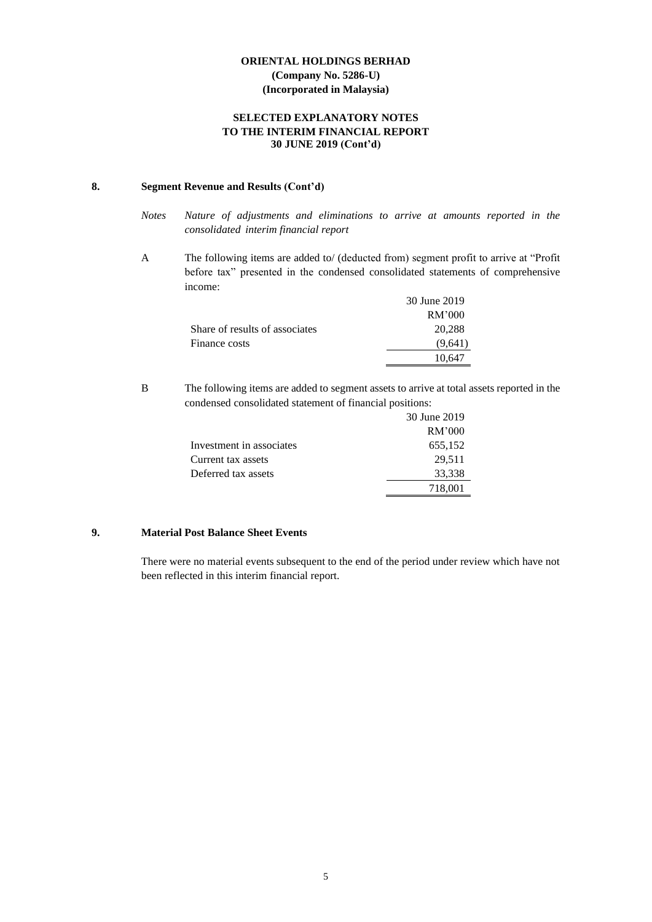## **SELECTED EXPLANATORY NOTES TO THE INTERIM FINANCIAL REPORT 30 JUNE 2019 (Cont'd)**

#### **8. Segment Revenue and Results (Cont'd)**

- *Notes Nature of adjustments and eliminations to arrive at amounts reported in the consolidated interim financial report*
- A The following items are added to/ (deducted from) segment profit to arrive at "Profit before tax" presented in the condensed consolidated statements of comprehensive income:

|                                | 30 June 2019 |
|--------------------------------|--------------|
|                                | RM'000       |
| Share of results of associates | 20,288       |
| Finance costs                  | (9.641)      |
|                                |              |

B The following items are added to segment assets to arrive at total assets reported in the condensed consolidated statement of financial positions:

|                          | 30 June 2019 |
|--------------------------|--------------|
|                          | RM'000       |
| Investment in associates | 655,152      |
| Current tax assets       | 29,511       |
| Deferred tax assets      | 33,338       |
|                          | 718,001      |
|                          |              |

## **9. Material Post Balance Sheet Events**

There were no material events subsequent to the end of the period under review which have not been reflected in this interim financial report.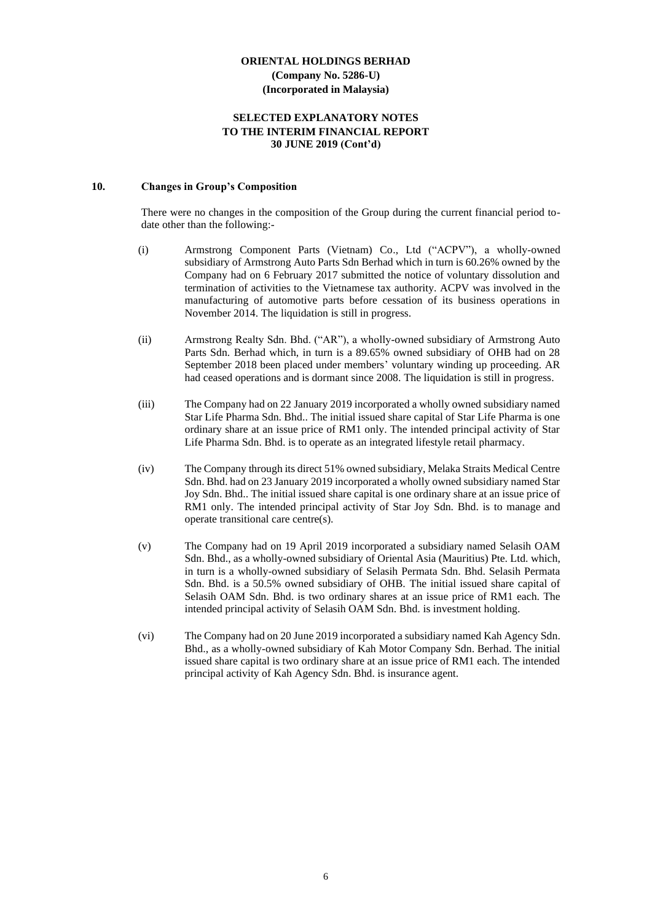#### **SELECTED EXPLANATORY NOTES TO THE INTERIM FINANCIAL REPORT 30 JUNE 2019 (Cont'd)**

#### **10. Changes in Group's Composition**

There were no changes in the composition of the Group during the current financial period todate other than the following:-

- (i) Armstrong Component Parts (Vietnam) Co., Ltd ("ACPV"), a wholly-owned subsidiary of Armstrong Auto Parts Sdn Berhad which in turn is 60.26% owned by the Company had on 6 February 2017 submitted the notice of voluntary dissolution and termination of activities to the Vietnamese tax authority. ACPV was involved in the manufacturing of automotive parts before cessation of its business operations in November 2014. The liquidation is still in progress.
- (ii) Armstrong Realty Sdn. Bhd. ("AR"), a wholly-owned subsidiary of Armstrong Auto Parts Sdn. Berhad which, in turn is a 89.65% owned subsidiary of OHB had on 28 September 2018 been placed under members' voluntary winding up proceeding. AR had ceased operations and is dormant since 2008. The liquidation is still in progress.
- (iii) The Company had on 22 January 2019 incorporated a wholly owned subsidiary named Star Life Pharma Sdn. Bhd.. The initial issued share capital of Star Life Pharma is one ordinary share at an issue price of RM1 only. The intended principal activity of Star Life Pharma Sdn. Bhd. is to operate as an integrated lifestyle retail pharmacy.
- (iv) The Company through its direct 51% owned subsidiary, Melaka Straits Medical Centre Sdn. Bhd. had on 23 January 2019 incorporated a wholly owned subsidiary named Star Joy Sdn. Bhd.. The initial issued share capital is one ordinary share at an issue price of RM1 only. The intended principal activity of Star Joy Sdn. Bhd. is to manage and operate transitional care centre(s).
- (v) The Company had on 19 April 2019 incorporated a subsidiary named Selasih OAM Sdn. Bhd., as a wholly-owned subsidiary of Oriental Asia (Mauritius) Pte. Ltd. which, in turn is a wholly-owned subsidiary of Selasih Permata Sdn. Bhd. Selasih Permata Sdn. Bhd. is a 50.5% owned subsidiary of OHB. The initial issued share capital of Selasih OAM Sdn. Bhd. is two ordinary shares at an issue price of RM1 each. The intended principal activity of Selasih OAM Sdn. Bhd. is investment holding.
- (vi) The Company had on 20 June 2019 incorporated a subsidiary named Kah Agency Sdn. Bhd., as a wholly-owned subsidiary of Kah Motor Company Sdn. Berhad. The initial issued share capital is two ordinary share at an issue price of RM1 each. The intended principal activity of Kah Agency Sdn. Bhd. is insurance agent.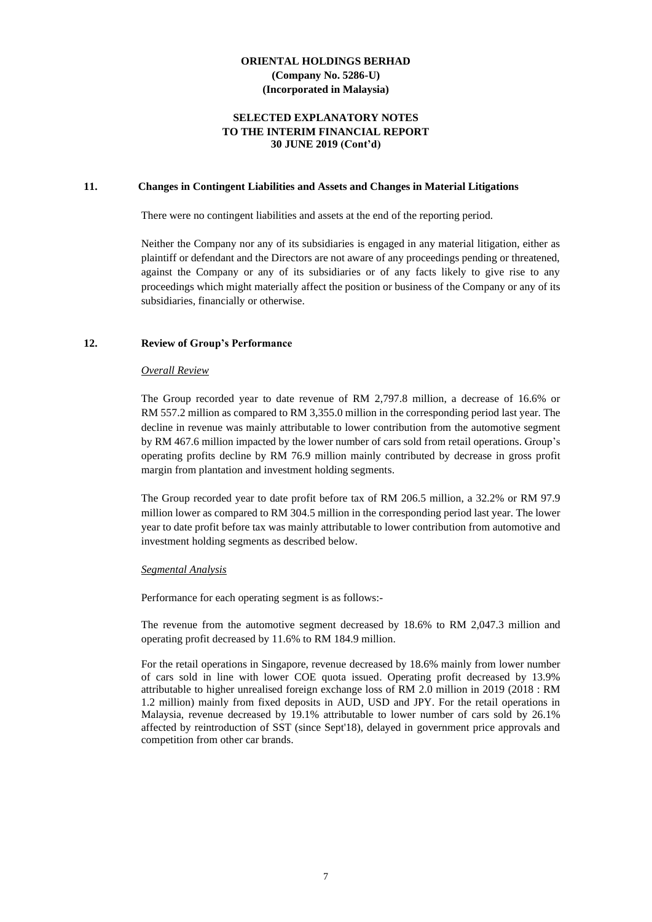#### **SELECTED EXPLANATORY NOTES TO THE INTERIM FINANCIAL REPORT 30 JUNE 2019 (Cont'd)**

#### **11. Changes in Contingent Liabilities and Assets and Changes in Material Litigations**

There were no contingent liabilities and assets at the end of the reporting period.

Neither the Company nor any of its subsidiaries is engaged in any material litigation, either as plaintiff or defendant and the Directors are not aware of any proceedings pending or threatened, against the Company or any of its subsidiaries or of any facts likely to give rise to any proceedings which might materially affect the position or business of the Company or any of its subsidiaries, financially or otherwise.

#### **12. Review of Group's Performance**

#### *Overall Review*

The Group recorded year to date revenue of RM 2,797.8 million, a decrease of 16.6% or RM 557.2 million as compared to RM 3,355.0 million in the corresponding period last year. The decline in revenue was mainly attributable to lower contribution from the automotive segment by RM 467.6 million impacted by the lower number of cars sold from retail operations. Group's operating profits decline by RM 76.9 million mainly contributed by decrease in gross profit margin from plantation and investment holding segments.

The Group recorded year to date profit before tax of RM 206.5 million, a 32.2% or RM 97.9 million lower as compared to RM 304.5 million in the corresponding period last year. The lower year to date profit before tax was mainly attributable to lower contribution from automotive and investment holding segments as described below.

#### *Segmental Analysis*

Performance for each operating segment is as follows:-

The revenue from the automotive segment decreased by 18.6% to RM 2,047.3 million and operating profit decreased by 11.6% to RM 184.9 million.

For the retail operations in Singapore, revenue decreased by 18.6% mainly from lower number of cars sold in line with lower COE quota issued. Operating profit decreased by 13.9% attributable to higher unrealised foreign exchange loss of RM 2.0 million in 2019 (2018 : RM 1.2 million) mainly from fixed deposits in AUD, USD and JPY. For the retail operations in Malaysia, revenue decreased by 19.1% attributable to lower number of cars sold by 26.1% affected by reintroduction of SST (since Sept'18), delayed in government price approvals and competition from other car brands.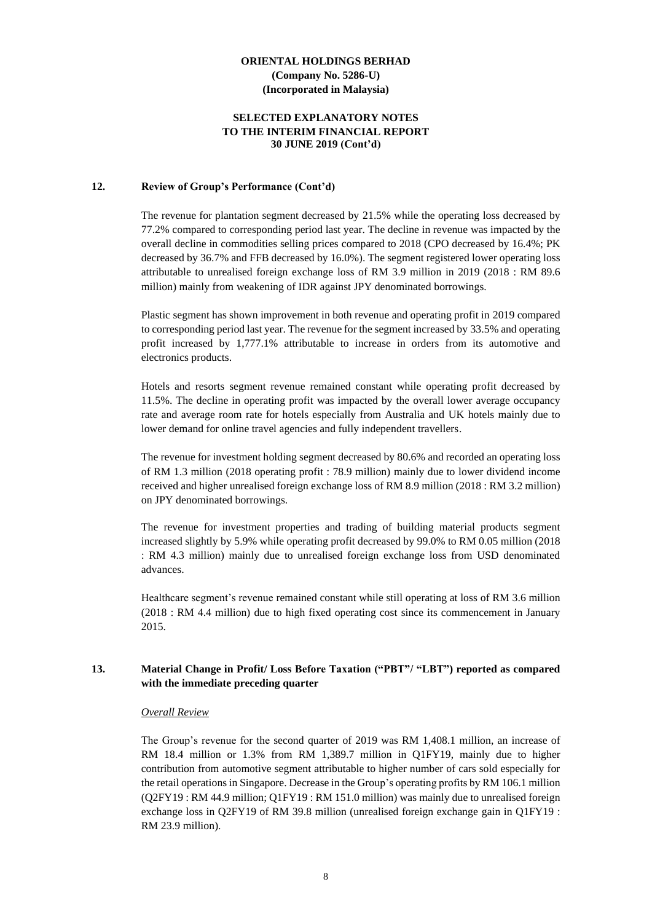#### **SELECTED EXPLANATORY NOTES TO THE INTERIM FINANCIAL REPORT 30 JUNE 2019 (Cont'd)**

#### **12. Review of Group's Performance (Cont'd)**

The revenue for plantation segment decreased by 21.5% while the operating loss decreased by 77.2% compared to corresponding period last year. The decline in revenue was impacted by the overall decline in commodities selling prices compared to 2018 (CPO decreased by 16.4%; PK decreased by 36.7% and FFB decreased by 16.0%). The segment registered lower operating loss attributable to unrealised foreign exchange loss of RM 3.9 million in 2019 (2018 : RM 89.6 million) mainly from weakening of IDR against JPY denominated borrowings.

Plastic segment has shown improvement in both revenue and operating profit in 2019 compared to corresponding period last year. The revenue for the segment increased by 33.5% and operating profit increased by 1,777.1% attributable to increase in orders from its automotive and electronics products.

Hotels and resorts segment revenue remained constant while operating profit decreased by 11.5%. The decline in operating profit was impacted by the overall lower average occupancy rate and average room rate for hotels especially from Australia and UK hotels mainly due to lower demand for online travel agencies and fully independent travellers.

The revenue for investment holding segment decreased by 80.6% and recorded an operating loss of RM 1.3 million (2018 operating profit : 78.9 million) mainly due to lower dividend income received and higher unrealised foreign exchange loss of RM 8.9 million (2018 : RM 3.2 million) on JPY denominated borrowings.

The revenue for investment properties and trading of building material products segment increased slightly by 5.9% while operating profit decreased by 99.0% to RM 0.05 million (2018 : RM 4.3 million) mainly due to unrealised foreign exchange loss from USD denominated advances.

Healthcare segment's revenue remained constant while still operating at loss of RM 3.6 million (2018 : RM 4.4 million) due to high fixed operating cost since its commencement in January 2015.

#### **13. Material Change in Profit/ Loss Before Taxation ("PBT"/ "LBT") reported as compared with the immediate preceding quarter**

#### *Overall Review*

The Group's revenue for the second quarter of 2019 was RM 1,408.1 million, an increase of RM 18.4 million or 1.3% from RM 1,389.7 million in Q1FY19, mainly due to higher contribution from automotive segment attributable to higher number of cars sold especially for the retail operations in Singapore. Decrease in the Group's operating profits by RM 106.1 million (Q2FY19 : RM 44.9 million; Q1FY19 : RM 151.0 million) was mainly due to unrealised foreign exchange loss in Q2FY19 of RM 39.8 million (unrealised foreign exchange gain in Q1FY19 : RM 23.9 million).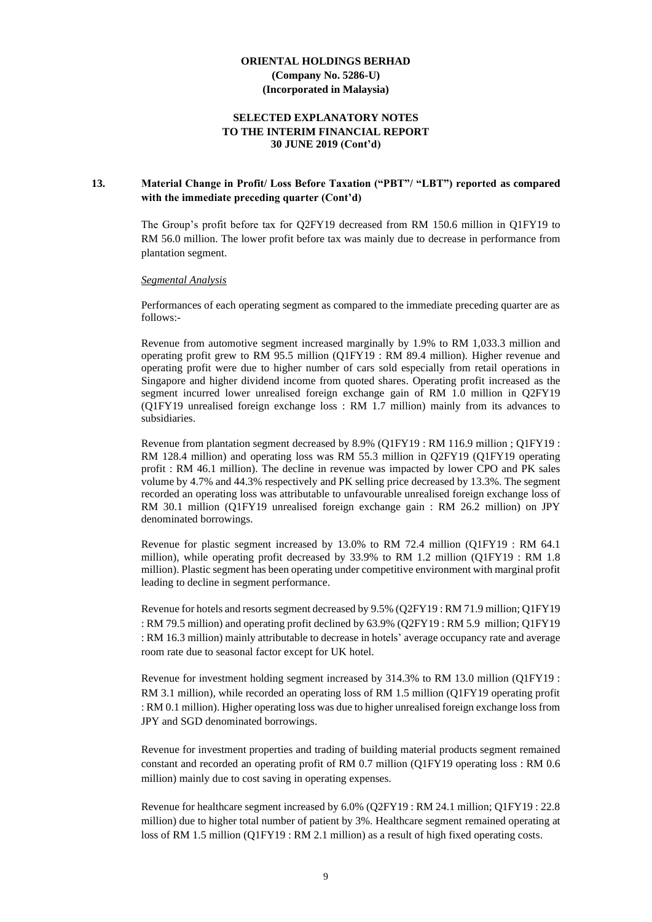#### **SELECTED EXPLANATORY NOTES TO THE INTERIM FINANCIAL REPORT 30 JUNE 2019 (Cont'd)**

#### **13. Material Change in Profit/ Loss Before Taxation ("PBT"/ "LBT") reported as compared with the immediate preceding quarter (Cont'd)**

The Group's profit before tax for Q2FY19 decreased from RM 150.6 million in Q1FY19 to RM 56.0 million. The lower profit before tax was mainly due to decrease in performance from plantation segment.

#### *Segmental Analysis*

Performances of each operating segment as compared to the immediate preceding quarter are as follows:-

Revenue from automotive segment increased marginally by 1.9% to RM 1,033.3 million and operating profit grew to RM 95.5 million (Q1FY19 : RM 89.4 million). Higher revenue and operating profit were due to higher number of cars sold especially from retail operations in Singapore and higher dividend income from quoted shares. Operating profit increased as the segment incurred lower unrealised foreign exchange gain of RM 1.0 million in Q2FY19 (Q1FY19 unrealised foreign exchange loss : RM 1.7 million) mainly from its advances to subsidiaries.

Revenue from plantation segment decreased by 8.9% (Q1FY19 : RM 116.9 million ; Q1FY19 : RM 128.4 million) and operating loss was RM 55.3 million in Q2FY19 (Q1FY19 operating profit : RM 46.1 million). The decline in revenue was impacted by lower CPO and PK sales volume by 4.7% and 44.3% respectively and PK selling price decreased by 13.3%. The segment recorded an operating loss was attributable to unfavourable unrealised foreign exchange loss of RM 30.1 million (Q1FY19 unrealised foreign exchange gain : RM 26.2 million) on JPY denominated borrowings.

Revenue for plastic segment increased by 13.0% to RM 72.4 million (Q1FY19 : RM 64.1 million), while operating profit decreased by 33.9% to RM 1.2 million (Q1FY19 : RM 1.8 million). Plastic segment has been operating under competitive environment with marginal profit leading to decline in segment performance.

Revenue for hotels and resorts segment decreased by 9.5% (Q2FY19 : RM 71.9 million; Q1FY19 : RM 79.5 million) and operating profit declined by 63.9% (Q2FY19 : RM 5.9 million; Q1FY19 : RM 16.3 million) mainly attributable to decrease in hotels' average occupancy rate and average room rate due to seasonal factor except for UK hotel.

Revenue for investment holding segment increased by 314.3% to RM 13.0 million (Q1FY19 : RM 3.1 million), while recorded an operating loss of RM 1.5 million (Q1FY19 operating profit : RM 0.1 million). Higher operating loss was due to higher unrealised foreign exchange loss from JPY and SGD denominated borrowings.

Revenue for investment properties and trading of building material products segment remained constant and recorded an operating profit of RM 0.7 million (Q1FY19 operating loss : RM 0.6 million) mainly due to cost saving in operating expenses.

Revenue for healthcare segment increased by 6.0% (Q2FY19 : RM 24.1 million; Q1FY19 : 22.8 million) due to higher total number of patient by 3%. Healthcare segment remained operating at loss of RM 1.5 million (Q1FY19 : RM 2.1 million) as a result of high fixed operating costs.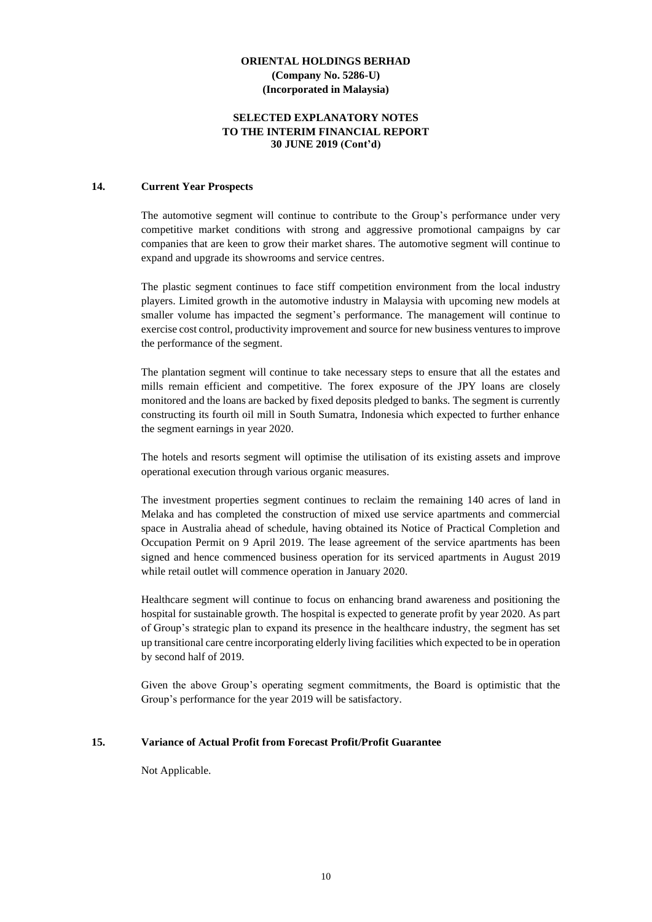#### **SELECTED EXPLANATORY NOTES TO THE INTERIM FINANCIAL REPORT 30 JUNE 2019 (Cont'd)**

#### **14. Current Year Prospects**

The automotive segment will continue to contribute to the Group's performance under very competitive market conditions with strong and aggressive promotional campaigns by car companies that are keen to grow their market shares. The automotive segment will continue to expand and upgrade its showrooms and service centres.

The plastic segment continues to face stiff competition environment from the local industry players. Limited growth in the automotive industry in Malaysia with upcoming new models at smaller volume has impacted the segment's performance. The management will continue to exercise cost control, productivity improvement and source for new business ventures to improve the performance of the segment.

The plantation segment will continue to take necessary steps to ensure that all the estates and mills remain efficient and competitive. The forex exposure of the JPY loans are closely monitored and the loans are backed by fixed deposits pledged to banks. The segment is currently constructing its fourth oil mill in South Sumatra, Indonesia which expected to further enhance the segment earnings in year 2020.

The hotels and resorts segment will optimise the utilisation of its existing assets and improve operational execution through various organic measures.

The investment properties segment continues to reclaim the remaining 140 acres of land in Melaka and has completed the construction of mixed use service apartments and commercial space in Australia ahead of schedule, having obtained its Notice of Practical Completion and Occupation Permit on 9 April 2019. The lease agreement of the service apartments has been signed and hence commenced business operation for its serviced apartments in August 2019 while retail outlet will commence operation in January 2020.

Healthcare segment will continue to focus on enhancing brand awareness and positioning the hospital for sustainable growth. The hospital is expected to generate profit by year 2020. As part of Group's strategic plan to expand its presence in the healthcare industry, the segment has set up transitional care centre incorporating elderly living facilities which expected to be in operation by second half of 2019.

Given the above Group's operating segment commitments, the Board is optimistic that the Group's performance for the year 2019 will be satisfactory.

#### **15. Variance of Actual Profit from Forecast Profit/Profit Guarantee**

Not Applicable.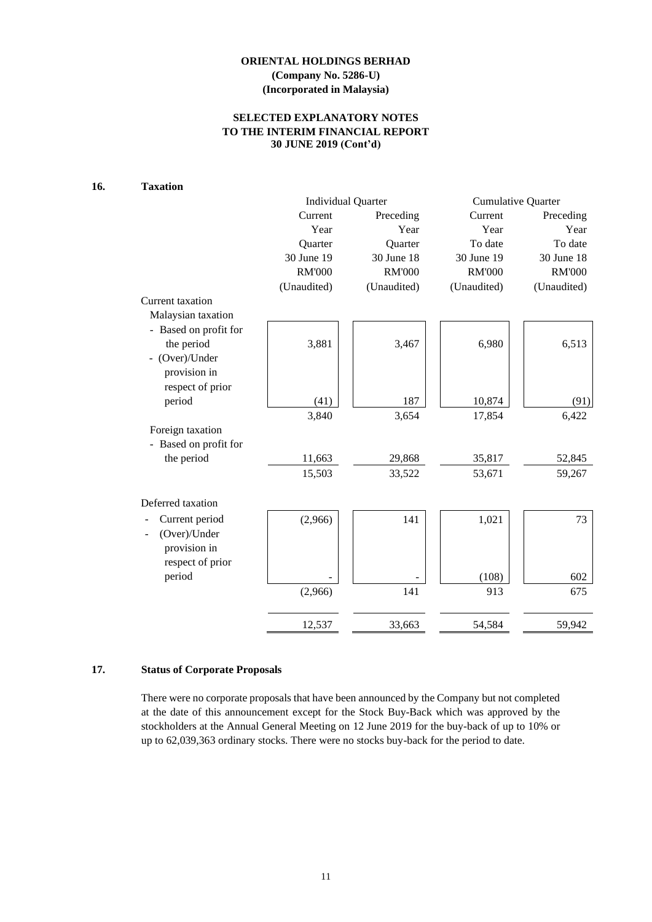## **SELECTED EXPLANATORY NOTES TO THE INTERIM FINANCIAL REPORT 30 JUNE 2019 (Cont'd)**

## **16. Taxation**

|                       |               | <b>Individual Quarter</b> | <b>Cumulative Quarter</b> |               |  |
|-----------------------|---------------|---------------------------|---------------------------|---------------|--|
|                       | Current       | Preceding                 | Current                   | Preceding     |  |
|                       | Year          | Year                      | Year                      | Year          |  |
|                       | Quarter       | Quarter                   | To date                   | To date       |  |
|                       | 30 June 19    | 30 June 18                | 30 June 19                | 30 June 18    |  |
|                       | <b>RM'000</b> | <b>RM'000</b>             | <b>RM'000</b>             | <b>RM'000</b> |  |
|                       | (Unaudited)   | (Unaudited)               | (Unaudited)               | (Unaudited)   |  |
| Current taxation      |               |                           |                           |               |  |
| Malaysian taxation    |               |                           |                           |               |  |
| - Based on profit for |               |                           |                           |               |  |
| the period            | 3,881         | 3,467                     | 6,980                     | 6,513         |  |
| (Over)/Under          |               |                           |                           |               |  |
| provision in          |               |                           |                           |               |  |
| respect of prior      |               |                           |                           |               |  |
| period                | (41)          | 187                       | 10,874                    | (91)          |  |
|                       | 3,840         | 3,654                     | 17,854                    | 6,422         |  |
| Foreign taxation      |               |                           |                           |               |  |
| Based on profit for   |               |                           |                           |               |  |
| the period            | 11,663        | 29,868                    | 35,817                    | 52,845        |  |
|                       | 15,503        | 33,522                    | 53,671                    | 59,267        |  |
| Deferred taxation     |               |                           |                           |               |  |
| Current period        | (2,966)       | 141                       | 1,021                     | 73            |  |
| (Over)/Under          |               |                           |                           |               |  |
| provision in          |               |                           |                           |               |  |
| respect of prior      |               |                           |                           |               |  |
| period                |               |                           | (108)                     | 602           |  |
|                       | (2,966)       | 141                       | 913                       | 675           |  |
|                       |               |                           |                           |               |  |
|                       | 12,537        | 33,663                    | 54,584                    | 59,942        |  |

## **17. Status of Corporate Proposals**

There were no corporate proposals that have been announced by the Company but not completed at the date of this announcement except for the Stock Buy-Back which was approved by the stockholders at the Annual General Meeting on 12 June 2019 for the buy-back of up to 10% or up to 62,039,363 ordinary stocks. There were no stocks buy-back for the period to date.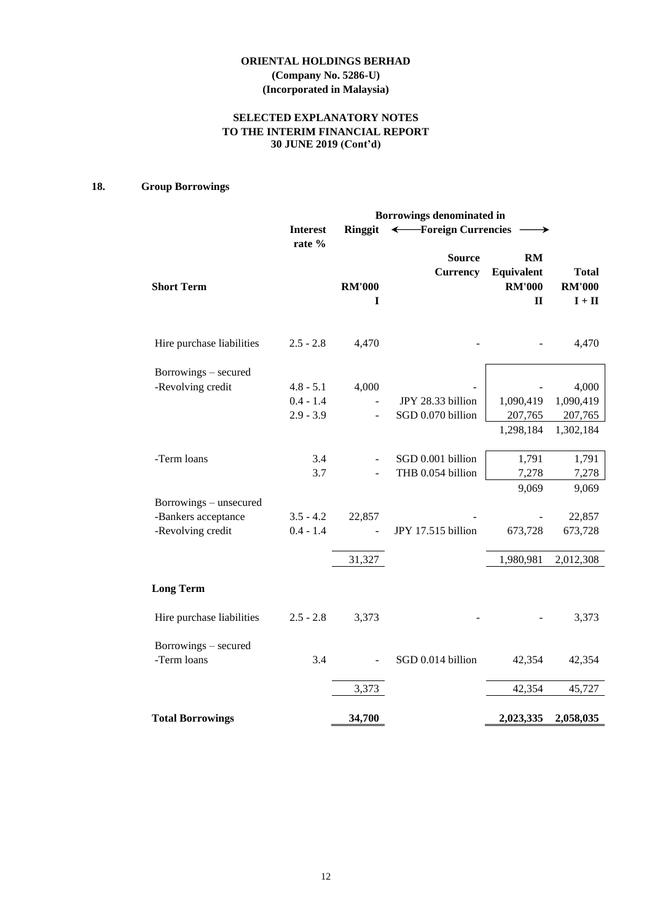## **ORIENTAL HOLDINGS BERHAD (Company No. 5286-U)**

**(Incorporated in Malaysia)**

## **SELECTED EXPLANATORY NOTES TO THE INTERIM FINANCIAL REPORT 30 JUNE 2019 (Cont'd)**

## **18. Group Borrowings**

|                                     |                 |                    | Borrowings denominated in        |                                                          |                                                           |
|-------------------------------------|-----------------|--------------------|----------------------------------|----------------------------------------------------------|-----------------------------------------------------------|
|                                     | <b>Interest</b> | <b>Ringgit</b>     | ← Foreign Currencies             |                                                          |                                                           |
| <b>Short Term</b>                   | rate %          | <b>RM'000</b><br>I | <b>Source</b><br><b>Currency</b> | <b>RM</b><br>Equivalent<br><b>RM'000</b><br>$\mathbf{I}$ | <b>Total</b><br><b>RM'000</b><br>$\mathbf{I}+\mathbf{II}$ |
| Hire purchase liabilities           | $2.5 - 2.8$     | 4,470              |                                  |                                                          | 4,470                                                     |
| Borrowings – secured                |                 |                    |                                  |                                                          |                                                           |
| -Revolving credit                   | $4.8 - 5.1$     | 4,000              |                                  |                                                          | 4,000                                                     |
|                                     | $0.4 - 1.4$     |                    | JPY 28.33 billion                | 1,090,419                                                | 1,090,419                                                 |
|                                     | $2.9 - 3.9$     |                    | SGD 0.070 billion                | 207,765                                                  | 207,765                                                   |
|                                     |                 |                    |                                  | 1,298,184                                                | 1,302,184                                                 |
| -Term loans                         | 3.4             |                    | SGD 0.001 billion                | 1,791                                                    | 1,791                                                     |
|                                     | 3.7             |                    | THB 0.054 billion                | 7,278                                                    | 7,278                                                     |
| Borrowings - unsecured              |                 |                    |                                  | 9,069                                                    | 9,069                                                     |
| -Bankers acceptance                 | $3.5 - 4.2$     | 22,857             |                                  |                                                          | 22,857                                                    |
| -Revolving credit                   | $0.4 - 1.4$     |                    | JPY 17.515 billion               | 673,728                                                  | 673,728                                                   |
|                                     |                 | 31,327             |                                  | 1,980,981                                                | 2,012,308                                                 |
| <b>Long Term</b>                    |                 |                    |                                  |                                                          |                                                           |
| Hire purchase liabilities           | $2.5 - 2.8$     | 3,373              |                                  |                                                          | 3,373                                                     |
| Borrowings - secured<br>-Term loans | 3.4             |                    | SGD 0.014 billion                | 42,354                                                   | 42,354                                                    |
|                                     |                 |                    |                                  |                                                          |                                                           |
|                                     |                 | 3,373              |                                  | 42,354                                                   | 45,727                                                    |
| <b>Total Borrowings</b>             |                 | 34,700             |                                  | 2,023,335                                                | 2,058,035                                                 |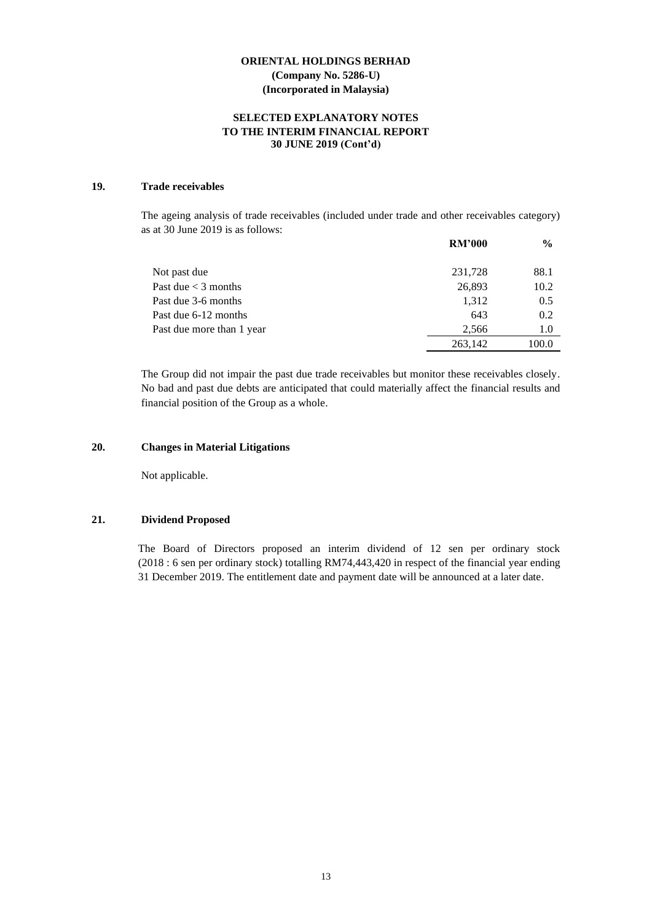#### **SELECTED EXPLANATORY NOTES TO THE INTERIM FINANCIAL REPORT 30 JUNE 2019 (Cont'd)**

## **19. Trade receivables**

The ageing analysis of trade receivables (included under trade and other receivables category) as at 30 June 2019 is as follows:

|                                    | <b>RM'000</b> | $\frac{6}{9}$ |
|------------------------------------|---------------|---------------|
| Not past due                       | 231,728       | 88.1          |
| Past due $<$ 3 months              | 26,893        | 10.2          |
| Past due 3-6 months                | 1,312         | 0.5           |
| Past due 6-12 months               | 643           | 0.2           |
| Past due more than 1 year<br>2.566 |               | 1.0           |
|                                    | 263,142       | 100.0         |

The Group did not impair the past due trade receivables but monitor these receivables closely. No bad and past due debts are anticipated that could materially affect the financial results and financial position of the Group as a whole.

### **20. Changes in Material Litigations**

Not applicable.

#### **21. Dividend Proposed**

The Board of Directors proposed an interim dividend of 12 sen per ordinary stock (2018 : 6 sen per ordinary stock) totalling RM74,443,420 in respect of the financial year ending 31 December 2019. The entitlement date and payment date will be announced at a later date.